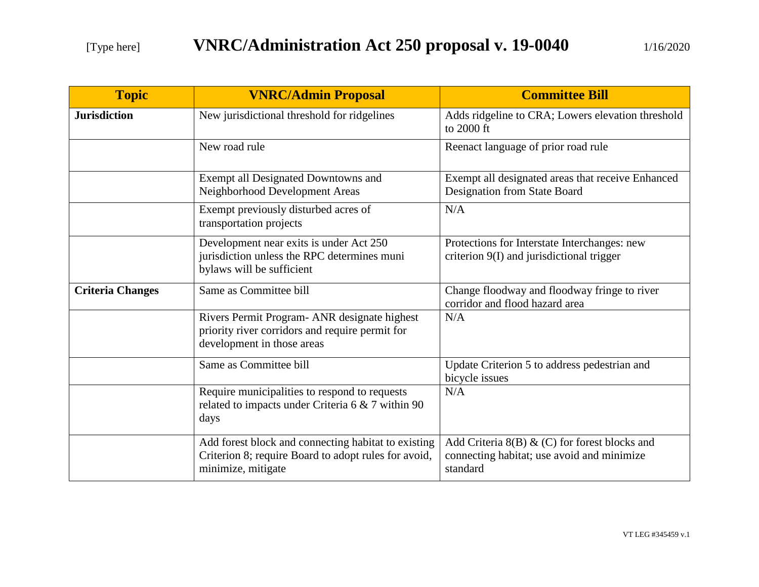| <b>Topic</b>            | <b>VNRC/Admin Proposal</b>                                                                                                        | <b>Committee Bill</b>                                                                                   |
|-------------------------|-----------------------------------------------------------------------------------------------------------------------------------|---------------------------------------------------------------------------------------------------------|
| <b>Jurisdiction</b>     | New jurisdictional threshold for ridgelines                                                                                       | Adds ridgeline to CRA; Lowers elevation threshold<br>to 2000 ft                                         |
|                         | New road rule                                                                                                                     | Reenact language of prior road rule                                                                     |
|                         | Exempt all Designated Downtowns and<br>Neighborhood Development Areas                                                             | Exempt all designated areas that receive Enhanced<br>Designation from State Board                       |
|                         | Exempt previously disturbed acres of<br>transportation projects                                                                   | N/A                                                                                                     |
|                         | Development near exits is under Act 250<br>jurisdiction unless the RPC determines muni<br>bylaws will be sufficient               | Protections for Interstate Interchanges: new<br>criterion 9(I) and jurisdictional trigger               |
| <b>Criteria Changes</b> | Same as Committee bill                                                                                                            | Change floodway and floodway fringe to river<br>corridor and flood hazard area                          |
|                         | Rivers Permit Program- ANR designate highest<br>priority river corridors and require permit for<br>development in those areas     | N/A                                                                                                     |
|                         | Same as Committee bill                                                                                                            | Update Criterion 5 to address pedestrian and<br>bicycle issues                                          |
|                         | Require municipalities to respond to requests<br>related to impacts under Criteria 6 & 7 within 90<br>days                        | N/A                                                                                                     |
|                         | Add forest block and connecting habitat to existing<br>Criterion 8; require Board to adopt rules for avoid,<br>minimize, mitigate | Add Criteria 8(B) & (C) for forest blocks and<br>connecting habitat; use avoid and minimize<br>standard |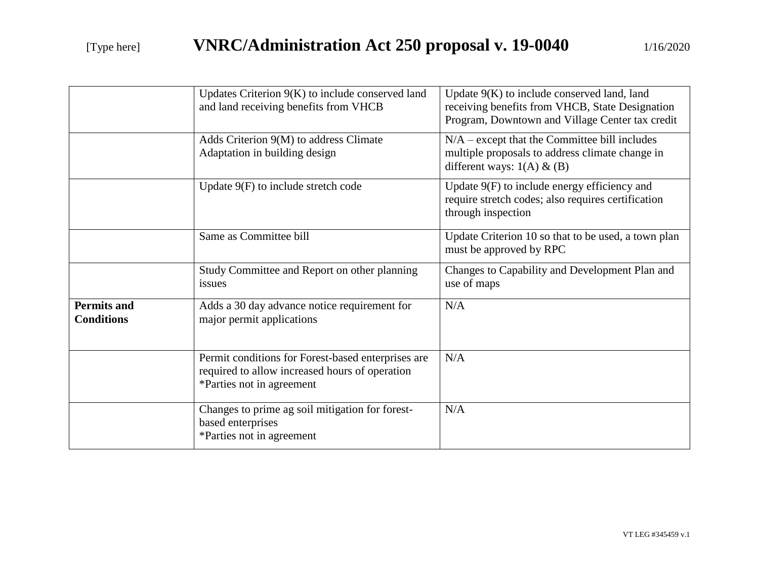|                                         | Updates Criterion 9(K) to include conserved land<br>and land receiving benefits from VHCB                                         | Update $9(K)$ to include conserved land, land<br>receiving benefits from VHCB, State Designation<br>Program, Downtown and Village Center tax credit |
|-----------------------------------------|-----------------------------------------------------------------------------------------------------------------------------------|-----------------------------------------------------------------------------------------------------------------------------------------------------|
|                                         | Adds Criterion 9(M) to address Climate<br>Adaptation in building design                                                           | $N/A$ – except that the Committee bill includes<br>multiple proposals to address climate change in<br>different ways: $1(A) \& B)$                  |
|                                         | Update $9(F)$ to include stretch code                                                                                             | Update 9(F) to include energy efficiency and<br>require stretch codes; also requires certification<br>through inspection                            |
|                                         | Same as Committee bill                                                                                                            | Update Criterion 10 so that to be used, a town plan<br>must be approved by RPC                                                                      |
|                                         | Study Committee and Report on other planning<br>issues                                                                            | Changes to Capability and Development Plan and<br>use of maps                                                                                       |
| <b>Permits and</b><br><b>Conditions</b> | Adds a 30 day advance notice requirement for<br>major permit applications                                                         | N/A                                                                                                                                                 |
|                                         | Permit conditions for Forest-based enterprises are<br>required to allow increased hours of operation<br>*Parties not in agreement | N/A                                                                                                                                                 |
|                                         | Changes to prime ag soil mitigation for forest-<br>based enterprises<br>*Parties not in agreement                                 | N/A                                                                                                                                                 |